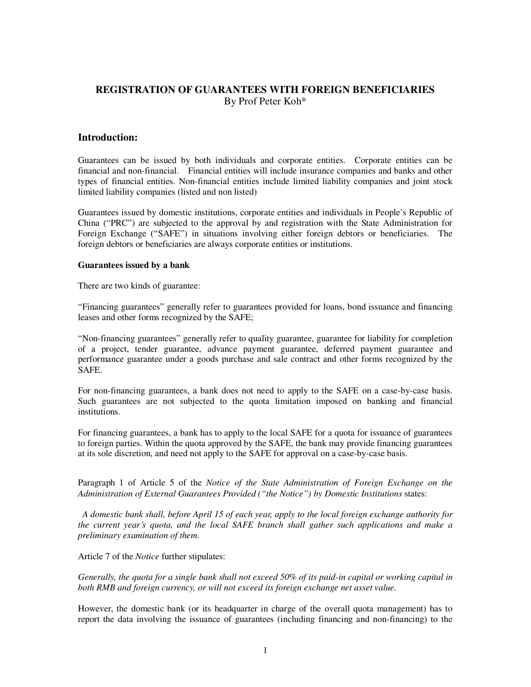# **REGISTRATION OF GUARANTEES WITH FOREIGN BENEFICIARIES**  By Prof Peter Koh\*

## **Introduction:**

Guarantees can be issued by both individuals and corporate entities. Corporate entities can be financial and non-financial. Financial entities will include insurance companies and banks and other types of financial entities. Non-financial entities include limited liability companies and joint stock limited liability companies (listed and non listed)

Guarantees issued by domestic institutions, corporate entities and individuals in People's Republic of China ("PRC") are subjected to the approval by and registration with the State Administration for Foreign Exchange ("SAFE") in situations involving either foreign debtors or beneficiaries. The foreign debtors or beneficiaries are always corporate entities or institutions.

#### **Guarantees issued by a bank**

There are two kinds of guarantee:

"Financing guarantees" generally refer to guarantees provided for loans, bond issuance and financing leases and other forms recognized by the SAFE;

"Non-financing guarantees" generally refer to quality guarantee, guarantee for liability for completion of a project, tender guarantee, advance payment guarantee, deferred payment guarantee and performance guarantee under a goods purchase and sale contract and other forms recognized by the SAFE.

For non-financing guarantees, a bank does not need to apply to the SAFE on a case-by-case basis. Such guarantees are not subjected to the quota limitation imposed on banking and financial institutions.

For financing guarantees, a bank has to apply to the local SAFE for a quota for issuance of guarantees to foreign parties. Within the quota approved by the SAFE, the bank may provide financing guarantees at its sole discretion, and need not apply to the SAFE for approval on a case-by-case basis.

Paragraph 1 of Article 5 of the *Notice of the State Administration of Foreign Exchange on the Administration of External Guarantees Provided ("the Notice") by Domestic Institutions* states:

*A domestic bank shall, before April 15 of each year, apply to the local foreign exchange authority for the current year's quota, and the local SAFE branch shall gather such applications and make a preliminary examination of them.* 

Article 7 of the *Notice* further stipulates:

*Generally, the quota for a single bank shall not exceed 50% of its paid-in capital or working capital in both RMB and foreign currency, or will not exceed its foreign exchange net asset value.* 

However, the domestic bank (or its headquarter in charge of the overall quota management) has to report the data involving the issuance of guarantees (including financing and non-financing) to the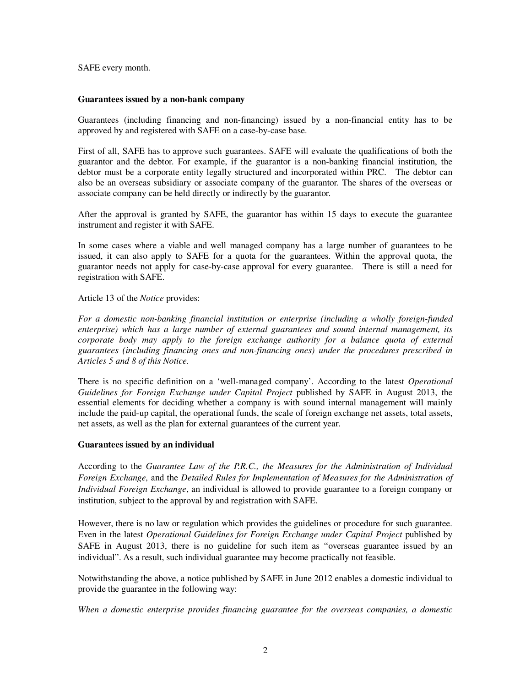SAFE every month.

### **Guarantees issued by a non-bank company**

Guarantees (including financing and non-financing) issued by a non-financial entity has to be approved by and registered with SAFE on a case-by-case base.

First of all, SAFE has to approve such guarantees. SAFE will evaluate the qualifications of both the guarantor and the debtor. For example, if the guarantor is a non-banking financial institution, the debtor must be a corporate entity legally structured and incorporated within PRC. The debtor can also be an overseas subsidiary or associate company of the guarantor. The shares of the overseas or associate company can be held directly or indirectly by the guarantor.

After the approval is granted by SAFE, the guarantor has within 15 days to execute the guarantee instrument and register it with SAFE.

In some cases where a viable and well managed company has a large number of guarantees to be issued, it can also apply to SAFE for a quota for the guarantees. Within the approval quota, the guarantor needs not apply for case-by-case approval for every guarantee. There is still a need for registration with SAFE.

## Article 13 of the *Notice* provides:

*For a domestic non-banking financial institution or enterprise (including a wholly foreign-funded enterprise) which has a large number of external guarantees and sound internal management, its corporate body may apply to the foreign exchange authority for a balance quota of external guarantees (including financing ones and non-financing ones) under the procedures prescribed in Articles 5 and 8 of this Notice.*

There is no specific definition on a 'well-managed company'. According to the latest *Operational Guidelines for Foreign Exchange under Capital Project* published by SAFE in August 2013, the essential elements for deciding whether a company is with sound internal management will mainly include the paid-up capital, the operational funds, the scale of foreign exchange net assets, total assets, net assets, as well as the plan for external guarantees of the current year.

### **Guarantees issued by an individual**

According to the *Guarantee Law of the P.R.C., the Measures for the Administration of Individual Foreign Exchange,* and the *Detailed Rules for Implementation of Measures for the Administration of Individual Foreign Exchange*, an individual is allowed to provide guarantee to a foreign company or institution, subject to the approval by and registration with SAFE.

However, there is no law or regulation which provides the guidelines or procedure for such guarantee. Even in the latest *Operational Guidelines for Foreign Exchange under Capital Project* published by SAFE in August 2013, there is no guideline for such item as "overseas guarantee issued by an individual". As a result, such individual guarantee may become practically not feasible.

Notwithstanding the above, a notice published by SAFE in June 2012 enables a domestic individual to provide the guarantee in the following way:

*When a domestic enterprise provides financing guarantee for the overseas companies, a domestic*